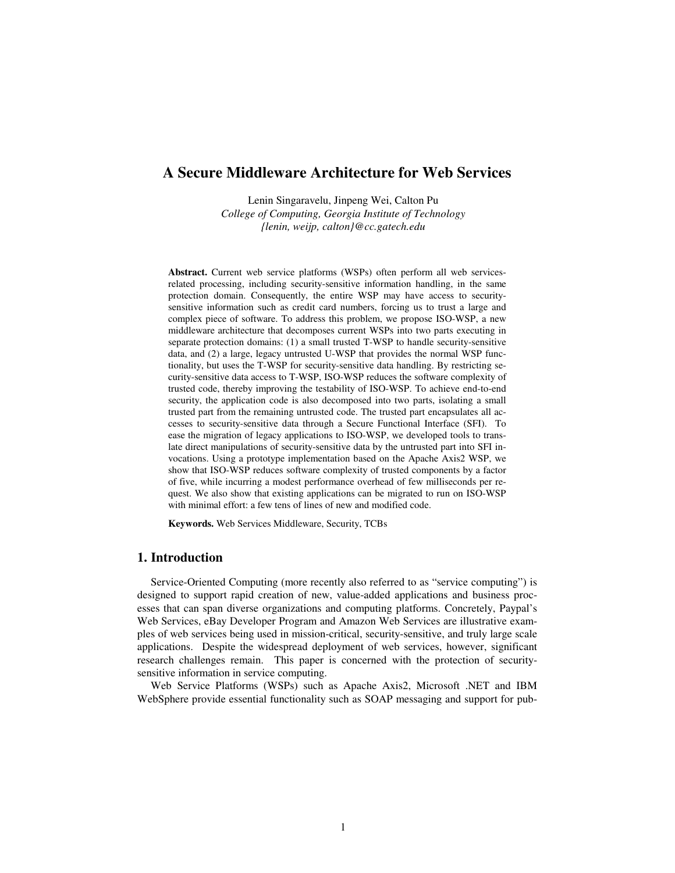# **A Secure Middleware Architecture for Web Services**

Lenin Singaravelu, Jinpeng Wei, Calton Pu *College of Computing, Georgia Institute of Technology {lenin, weijp, calton}@cc.gatech.edu*

**Abstract.** Current web service platforms (WSPs) often perform all web servicesrelated processing, including security-sensitive information handling, in the same protection domain. Consequently, the entire WSP may have access to securitysensitive information such as credit card numbers, forcing us to trust a large and complex piece of software. To address this problem, we propose ISO-WSP, a new middleware architecture that decomposes current WSPs into two parts executing in separate protection domains: (1) a small trusted T-WSP to handle security-sensitive data, and (2) a large, legacy untrusted U-WSP that provides the normal WSP functionality, but uses the T-WSP for security-sensitive data handling. By restricting security-sensitive data access to T-WSP, ISO-WSP reduces the software complexity of trusted code, thereby improving the testability of ISO-WSP. To achieve end-to-end security, the application code is also decomposed into two parts, isolating a small trusted part from the remaining untrusted code. The trusted part encapsulates all accesses to security-sensitive data through a Secure Functional Interface (SFI). To ease the migration of legacy applications to ISO-WSP, we developed tools to translate direct manipulations of security-sensitive data by the untrusted part into SFI invocations. Using a prototype implementation based on the Apache Axis2 WSP, we show that ISO-WSP reduces software complexity of trusted components by a factor of five, while incurring a modest performance overhead of few milliseconds per request. We also show that existing applications can be migrated to run on ISO-WSP with minimal effort: a few tens of lines of new and modified code.

**Keywords.** Web Services Middleware, Security, TCBs

## **1. Introduction**

Service-Oriented Computing (more recently also referred to as "service computing") is designed to support rapid creation of new, value-added applications and business processes that can span diverse organizations and computing platforms. Concretely, Paypal's Web Services, eBay Developer Program and Amazon Web Services are illustrative examples of web services being used in mission-critical, security-sensitive, and truly large scale applications. Despite the widespread deployment of web services, however, significant research challenges remain. This paper is concerned with the protection of securitysensitive information in service computing.

Web Service Platforms (WSPs) such as Apache Axis2, Microsoft .NET and IBM WebSphere provide essential functionality such as SOAP messaging and support for pub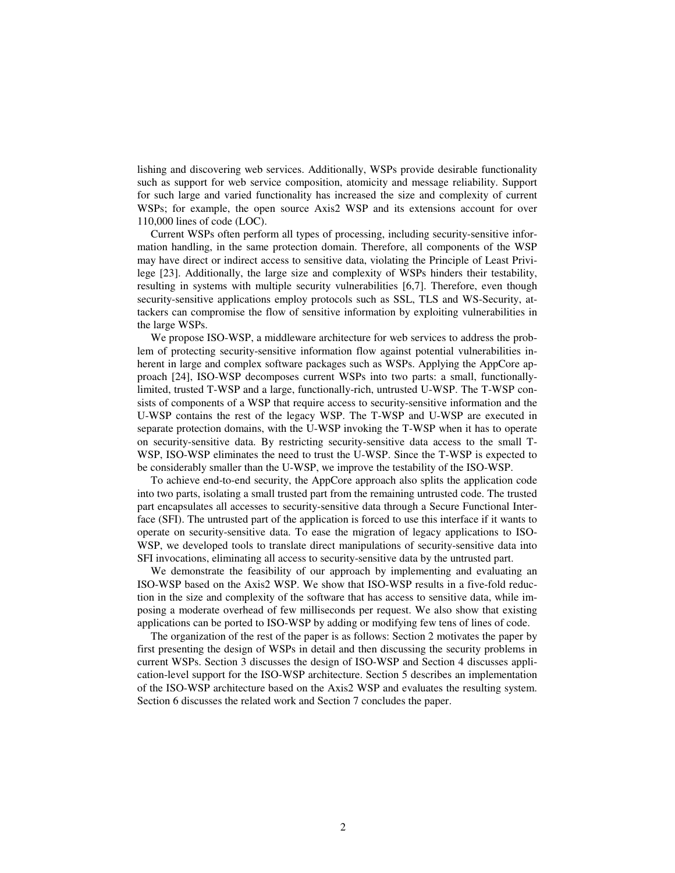lishing and discovering web services. Additionally, WSPs provide desirable functionality such as support for web service composition, atomicity and message reliability. Support for such large and varied functionality has increased the size and complexity of current WSPs; for example, the open source Axis2 WSP and its extensions account for over 110,000 lines of code (LOC).

Current WSPs often perform all types of processing, including security-sensitive information handling, in the same protection domain. Therefore, all components of the WSP may have direct or indirect access to sensitive data, violating the Principle of Least Privilege [23]. Additionally, the large size and complexity of WSPs hinders their testability, resulting in systems with multiple security vulnerabilities [6,7]. Therefore, even though security-sensitive applications employ protocols such as SSL, TLS and WS-Security, attackers can compromise the flow of sensitive information by exploiting vulnerabilities in the large WSPs.

We propose ISO-WSP, a middleware architecture for web services to address the problem of protecting security-sensitive information flow against potential vulnerabilities inherent in large and complex software packages such as WSPs. Applying the AppCore approach [24], ISO-WSP decomposes current WSPs into two parts: a small, functionallylimited, trusted T-WSP and a large, functionally-rich, untrusted U-WSP. The T-WSP consists of components of a WSP that require access to security-sensitive information and the U-WSP contains the rest of the legacy WSP. The T-WSP and U-WSP are executed in separate protection domains, with the U-WSP invoking the T-WSP when it has to operate on security-sensitive data. By restricting security-sensitive data access to the small T-WSP, ISO-WSP eliminates the need to trust the U-WSP. Since the T-WSP is expected to be considerably smaller than the U-WSP, we improve the testability of the ISO-WSP.

To achieve end-to-end security, the AppCore approach also splits the application code into two parts, isolating a small trusted part from the remaining untrusted code. The trusted part encapsulates all accesses to security-sensitive data through a Secure Functional Interface (SFI). The untrusted part of the application is forced to use this interface if it wants to operate on security-sensitive data. To ease the migration of legacy applications to ISO-WSP, we developed tools to translate direct manipulations of security-sensitive data into SFI invocations, eliminating all access to security-sensitive data by the untrusted part.

We demonstrate the feasibility of our approach by implementing and evaluating an ISO-WSP based on the Axis2 WSP. We show that ISO-WSP results in a five-fold reduction in the size and complexity of the software that has access to sensitive data, while imposing a moderate overhead of few milliseconds per request. We also show that existing applications can be ported to ISO-WSP by adding or modifying few tens of lines of code.

The organization of the rest of the paper is as follows: Section 2 motivates the paper by first presenting the design of WSPs in detail and then discussing the security problems in current WSPs. Section 3 discusses the design of ISO-WSP and Section 4 discusses application-level support for the ISO-WSP architecture. Section 5 describes an implementation of the ISO-WSP architecture based on the Axis2 WSP and evaluates the resulting system. Section 6 discusses the related work and Section 7 concludes the paper.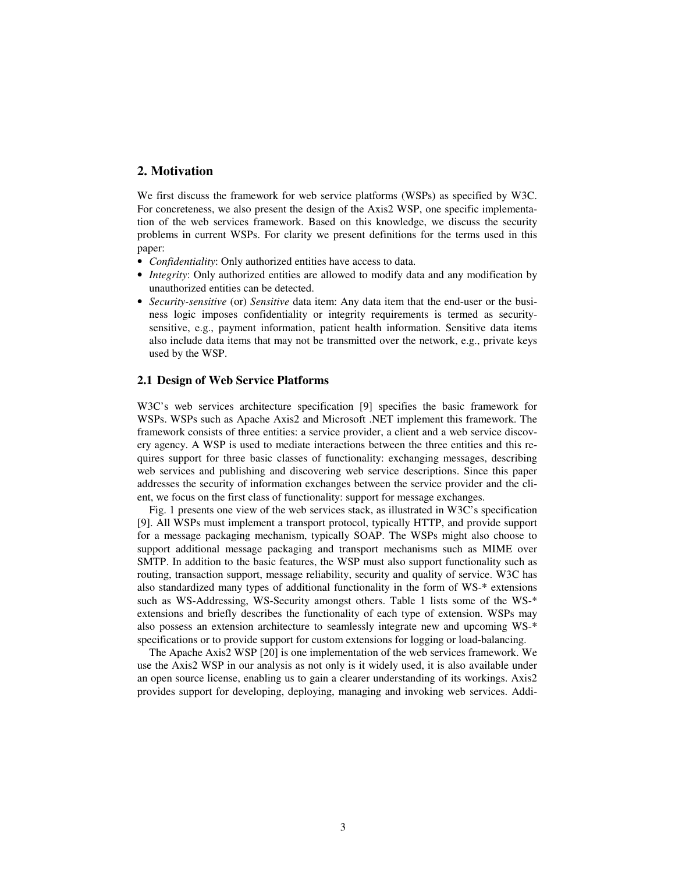## **2. Motivation**

We first discuss the framework for web service platforms (WSPs) as specified by W3C. For concreteness, we also present the design of the Axis2 WSP, one specific implementation of the web services framework. Based on this knowledge, we discuss the security problems in current WSPs. For clarity we present definitions for the terms used in this paper:

- *Confidentiality*: Only authorized entities have access to data.
- *Integrity*: Only authorized entities are allowed to modify data and any modification by unauthorized entities can be detected.
- *Security-sensitive* (or) *Sensitive* data item: Any data item that the end-user or the business logic imposes confidentiality or integrity requirements is termed as securitysensitive, e.g., payment information, patient health information. Sensitive data items also include data items that may not be transmitted over the network, e.g., private keys used by the WSP.

### **2.1 Design of Web Service Platforms**

W3C's web services architecture specification [9] specifies the basic framework for WSPs. WSPs such as Apache Axis2 and Microsoft .NET implement this framework. The framework consists of three entities: a service provider, a client and a web service discovery agency. A WSP is used to mediate interactions between the three entities and this requires support for three basic classes of functionality: exchanging messages, describing web services and publishing and discovering web service descriptions. Since this paper addresses the security of information exchanges between the service provider and the client, we focus on the first class of functionality: support for message exchanges.

Fig. 1 presents one view of the web services stack, as illustrated in W3C's specification [9]. All WSPs must implement a transport protocol, typically HTTP, and provide support for a message packaging mechanism, typically SOAP. The WSPs might also choose to support additional message packaging and transport mechanisms such as MIME over SMTP. In addition to the basic features, the WSP must also support functionality such as routing, transaction support, message reliability, security and quality of service. W3C has also standardized many types of additional functionality in the form of WS-\* extensions such as WS-Addressing, WS-Security amongst others. Table 1 lists some of the WS-\* extensions and briefly describes the functionality of each type of extension. WSPs may also possess an extension architecture to seamlessly integrate new and upcoming WS-\* specifications or to provide support for custom extensions for logging or load-balancing.

The Apache Axis2 WSP [20] is one implementation of the web services framework. We use the Axis2 WSP in our analysis as not only is it widely used, it is also available under an open source license, enabling us to gain a clearer understanding of its workings. Axis2 provides support for developing, deploying, managing and invoking web services. Addi-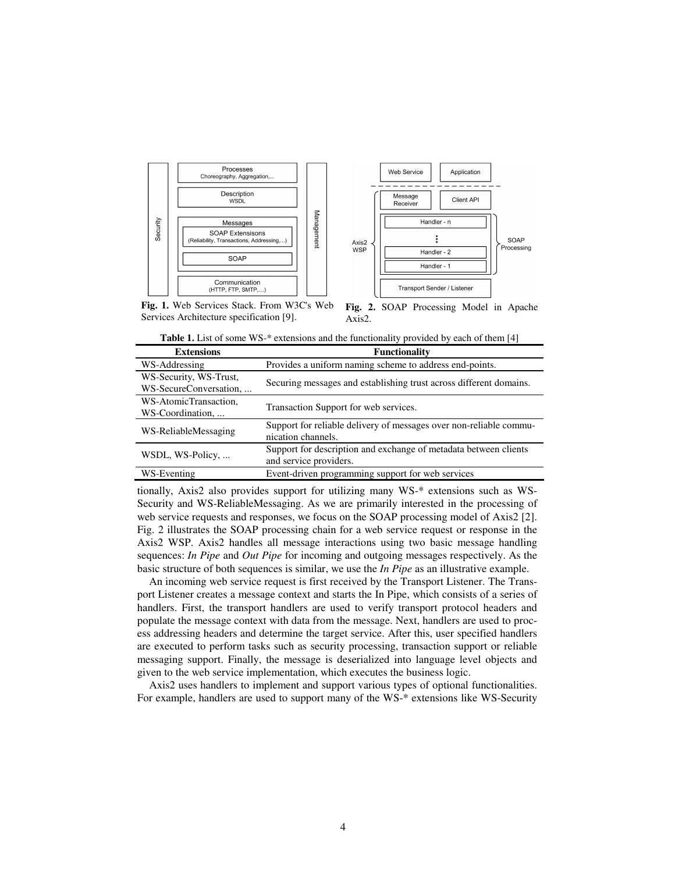



**Fig. 1.** Web Services Stack. From W3C's Web Services Architecture specification [9]. Axis2.

**Fig. 2.** SOAP Processing Model in Apache

| <b>Extensions</b>                                | <b>Functionality</b>                                                                       |  |  |  |
|--------------------------------------------------|--------------------------------------------------------------------------------------------|--|--|--|
| WS-Addressing                                    | Provides a uniform naming scheme to address end-points.                                    |  |  |  |
| WS-Security, WS-Trust,<br>WS-SecureConversation, | Securing messages and establishing trust across different domains.                         |  |  |  |
| WS-AtomicTransaction.<br>WS-Coordination,        | Transaction Support for web services.                                                      |  |  |  |
| WS-ReliableMessaging                             | Support for reliable delivery of messages over non-reliable commu-<br>nication channels.   |  |  |  |
| WSDL, WS-Policy,                                 | Support for description and exchange of metadata between clients<br>and service providers. |  |  |  |
| WS-Eventing                                      | Event-driven programming support for web services                                          |  |  |  |

**Table 1.** List of some WS-\* extensions and the functionality provided by each of them [4]

tionally, Axis2 also provides support for utilizing many WS-\* extensions such as WS-Security and WS-ReliableMessaging. As we are primarily interested in the processing of web service requests and responses, we focus on the SOAP processing model of Axis2 [2]. Fig. 2 illustrates the SOAP processing chain for a web service request or response in the Axis2 WSP. Axis2 handles all message interactions using two basic message handling sequences: *In Pipe* and *Out Pipe* for incoming and outgoing messages respectively. As the basic structure of both sequences is similar, we use the *In Pipe* as an illustrative example.

An incoming web service request is first received by the Transport Listener. The Transport Listener creates a message context and starts the In Pipe, which consists of a series of handlers. First, the transport handlers are used to verify transport protocol headers and populate the message context with data from the message. Next, handlers are used to process addressing headers and determine the target service. After this, user specified handlers are executed to perform tasks such as security processing, transaction support or reliable messaging support. Finally, the message is deserialized into language level objects and given to the web service implementation, which executes the business logic.

Axis2 uses handlers to implement and support various types of optional functionalities. For example, handlers are used to support many of the WS-\* extensions like WS-Security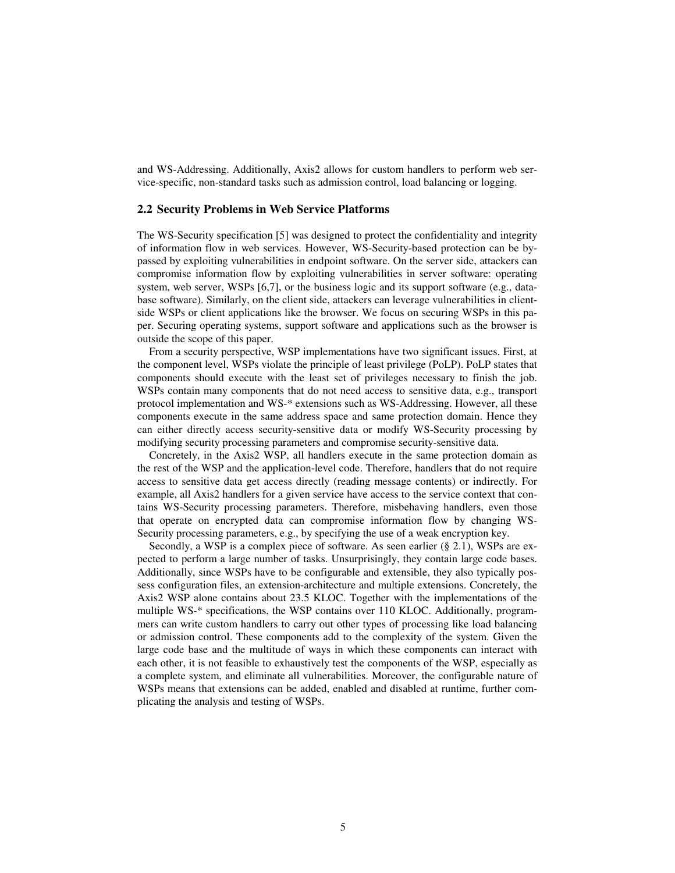and WS-Addressing. Additionally, Axis2 allows for custom handlers to perform web service-specific, non-standard tasks such as admission control, load balancing or logging.

#### **2.2 Security Problems in Web Service Platforms**

The WS-Security specification [5] was designed to protect the confidentiality and integrity of information flow in web services. However, WS-Security-based protection can be bypassed by exploiting vulnerabilities in endpoint software. On the server side, attackers can compromise information flow by exploiting vulnerabilities in server software: operating system, web server, WSPs [6,7], or the business logic and its support software (e.g., database software). Similarly, on the client side, attackers can leverage vulnerabilities in clientside WSPs or client applications like the browser. We focus on securing WSPs in this paper. Securing operating systems, support software and applications such as the browser is outside the scope of this paper.

From a security perspective, WSP implementations have two significant issues. First, at the component level, WSPs violate the principle of least privilege (PoLP). PoLP states that components should execute with the least set of privileges necessary to finish the job. WSPs contain many components that do not need access to sensitive data, e.g., transport protocol implementation and WS-\* extensions such as WS-Addressing. However, all these components execute in the same address space and same protection domain. Hence they can either directly access security-sensitive data or modify WS-Security processing by modifying security processing parameters and compromise security-sensitive data.

Concretely, in the Axis2 WSP, all handlers execute in the same protection domain as the rest of the WSP and the application-level code. Therefore, handlers that do not require access to sensitive data get access directly (reading message contents) or indirectly. For example, all Axis2 handlers for a given service have access to the service context that contains WS-Security processing parameters. Therefore, misbehaving handlers, even those that operate on encrypted data can compromise information flow by changing WS-Security processing parameters, e.g., by specifying the use of a weak encryption key.

Secondly, a WSP is a complex piece of software. As seen earlier (§ 2.1), WSPs are expected to perform a large number of tasks. Unsurprisingly, they contain large code bases. Additionally, since WSPs have to be configurable and extensible, they also typically possess configuration files, an extension-architecture and multiple extensions. Concretely, the Axis2 WSP alone contains about 23.5 KLOC. Together with the implementations of the multiple WS-\* specifications, the WSP contains over 110 KLOC. Additionally, programmers can write custom handlers to carry out other types of processing like load balancing or admission control. These components add to the complexity of the system. Given the large code base and the multitude of ways in which these components can interact with each other, it is not feasible to exhaustively test the components of the WSP, especially as a complete system, and eliminate all vulnerabilities. Moreover, the configurable nature of WSPs means that extensions can be added, enabled and disabled at runtime, further complicating the analysis and testing of WSPs.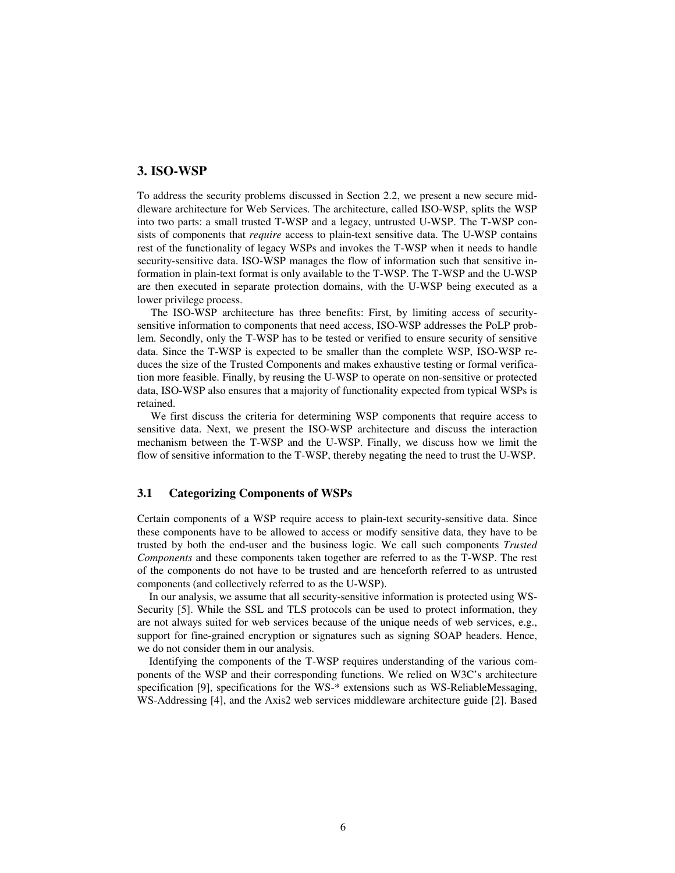### **3. ISO-WSP**

To address the security problems discussed in Section 2.2, we present a new secure middleware architecture for Web Services. The architecture, called ISO-WSP, splits the WSP into two parts: a small trusted T-WSP and a legacy, untrusted U-WSP. The T-WSP consists of components that *require* access to plain-text sensitive data. The U-WSP contains rest of the functionality of legacy WSPs and invokes the T-WSP when it needs to handle security-sensitive data. ISO-WSP manages the flow of information such that sensitive information in plain-text format is only available to the T-WSP. The T-WSP and the U-WSP are then executed in separate protection domains, with the U-WSP being executed as a lower privilege process.

The ISO-WSP architecture has three benefits: First, by limiting access of securitysensitive information to components that need access, ISO-WSP addresses the PoLP problem. Secondly, only the T-WSP has to be tested or verified to ensure security of sensitive data. Since the T-WSP is expected to be smaller than the complete WSP, ISO-WSP reduces the size of the Trusted Components and makes exhaustive testing or formal verification more feasible. Finally, by reusing the U-WSP to operate on non-sensitive or protected data, ISO-WSP also ensures that a majority of functionality expected from typical WSPs is retained.

We first discuss the criteria for determining WSP components that require access to sensitive data. Next, we present the ISO-WSP architecture and discuss the interaction mechanism between the T-WSP and the U-WSP. Finally, we discuss how we limit the flow of sensitive information to the T-WSP, thereby negating the need to trust the U-WSP.

### **3.1 Categorizing Components of WSPs**

Certain components of a WSP require access to plain-text security-sensitive data. Since these components have to be allowed to access or modify sensitive data, they have to be trusted by both the end-user and the business logic. We call such components *Trusted Components* and these components taken together are referred to as the T-WSP. The rest of the components do not have to be trusted and are henceforth referred to as untrusted components (and collectively referred to as the U-WSP).

In our analysis, we assume that all security-sensitive information is protected using WS-Security [5]. While the SSL and TLS protocols can be used to protect information, they are not always suited for web services because of the unique needs of web services, e.g., support for fine-grained encryption or signatures such as signing SOAP headers. Hence, we do not consider them in our analysis.

Identifying the components of the T-WSP requires understanding of the various components of the WSP and their corresponding functions. We relied on W3C's architecture specification [9], specifications for the WS-\* extensions such as WS-ReliableMessaging, WS-Addressing [4], and the Axis2 web services middleware architecture guide [2]. Based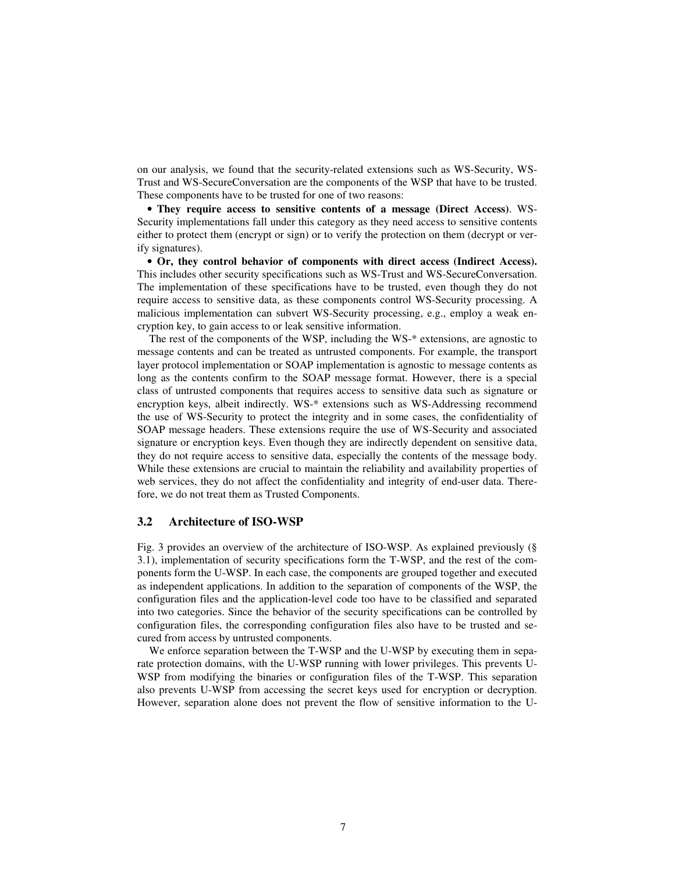on our analysis, we found that the security-related extensions such as WS-Security, WS-Trust and WS-SecureConversation are the components of the WSP that have to be trusted. These components have to be trusted for one of two reasons:

• **They require access to sensitive contents of a message (Direct Access)**. WS-Security implementations fall under this category as they need access to sensitive contents either to protect them (encrypt or sign) or to verify the protection on them (decrypt or verify signatures).

• **Or, they control behavior of components with direct access (Indirect Access).** This includes other security specifications such as WS-Trust and WS-SecureConversation. The implementation of these specifications have to be trusted, even though they do not require access to sensitive data, as these components control WS-Security processing. A malicious implementation can subvert WS-Security processing, e.g., employ a weak encryption key, to gain access to or leak sensitive information.

The rest of the components of the WSP, including the WS-\* extensions, are agnostic to message contents and can be treated as untrusted components. For example, the transport layer protocol implementation or SOAP implementation is agnostic to message contents as long as the contents confirm to the SOAP message format. However, there is a special class of untrusted components that requires access to sensitive data such as signature or encryption keys, albeit indirectly. WS-\* extensions such as WS-Addressing recommend the use of WS-Security to protect the integrity and in some cases, the confidentiality of SOAP message headers. These extensions require the use of WS-Security and associated signature or encryption keys. Even though they are indirectly dependent on sensitive data, they do not require access to sensitive data, especially the contents of the message body. While these extensions are crucial to maintain the reliability and availability properties of web services, they do not affect the confidentiality and integrity of end-user data. Therefore, we do not treat them as Trusted Components.

#### **3.2 Architecture of ISO-WSP**

Fig. 3 provides an overview of the architecture of ISO-WSP. As explained previously (§ 3.1), implementation of security specifications form the T-WSP, and the rest of the components form the U-WSP. In each case, the components are grouped together and executed as independent applications. In addition to the separation of components of the WSP, the configuration files and the application-level code too have to be classified and separated into two categories. Since the behavior of the security specifications can be controlled by configuration files, the corresponding configuration files also have to be trusted and secured from access by untrusted components.

We enforce separation between the T-WSP and the U-WSP by executing them in separate protection domains, with the U-WSP running with lower privileges. This prevents U-WSP from modifying the binaries or configuration files of the T-WSP. This separation also prevents U-WSP from accessing the secret keys used for encryption or decryption. However, separation alone does not prevent the flow of sensitive information to the U-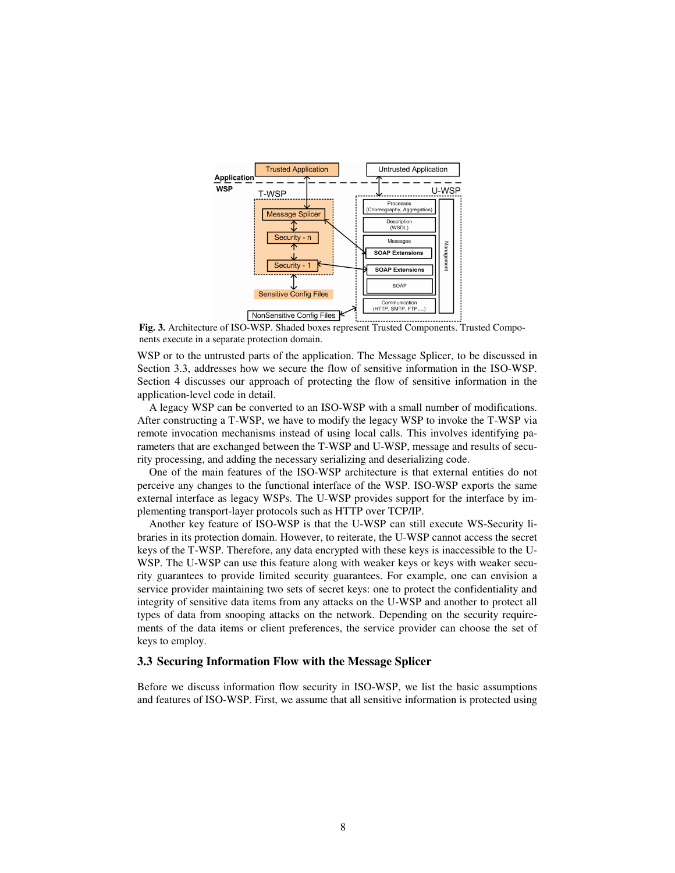

**Fig. 3.** Architecture of ISO-WSP. Shaded boxes represent Trusted Components. Trusted Components execute in a separate protection domain.

WSP or to the untrusted parts of the application. The Message Splicer, to be discussed in Section 3.3, addresses how we secure the flow of sensitive information in the ISO-WSP. Section 4 discusses our approach of protecting the flow of sensitive information in the application-level code in detail.

A legacy WSP can be converted to an ISO-WSP with a small number of modifications. After constructing a T-WSP, we have to modify the legacy WSP to invoke the T-WSP via remote invocation mechanisms instead of using local calls. This involves identifying parameters that are exchanged between the T-WSP and U-WSP, message and results of security processing, and adding the necessary serializing and deserializing code.

One of the main features of the ISO-WSP architecture is that external entities do not perceive any changes to the functional interface of the WSP. ISO-WSP exports the same external interface as legacy WSPs. The U-WSP provides support for the interface by implementing transport-layer protocols such as HTTP over TCP/IP.

Another key feature of ISO-WSP is that the U-WSP can still execute WS-Security libraries in its protection domain. However, to reiterate, the U-WSP cannot access the secret keys of the T-WSP. Therefore, any data encrypted with these keys is inaccessible to the U-WSP. The U-WSP can use this feature along with weaker keys or keys with weaker security guarantees to provide limited security guarantees. For example, one can envision a service provider maintaining two sets of secret keys: one to protect the confidentiality and integrity of sensitive data items from any attacks on the U-WSP and another to protect all types of data from snooping attacks on the network. Depending on the security requirements of the data items or client preferences, the service provider can choose the set of keys to employ.

### **3.3 Securing Information Flow with the Message Splicer**

Before we discuss information flow security in ISO-WSP, we list the basic assumptions and features of ISO-WSP. First, we assume that all sensitive information is protected using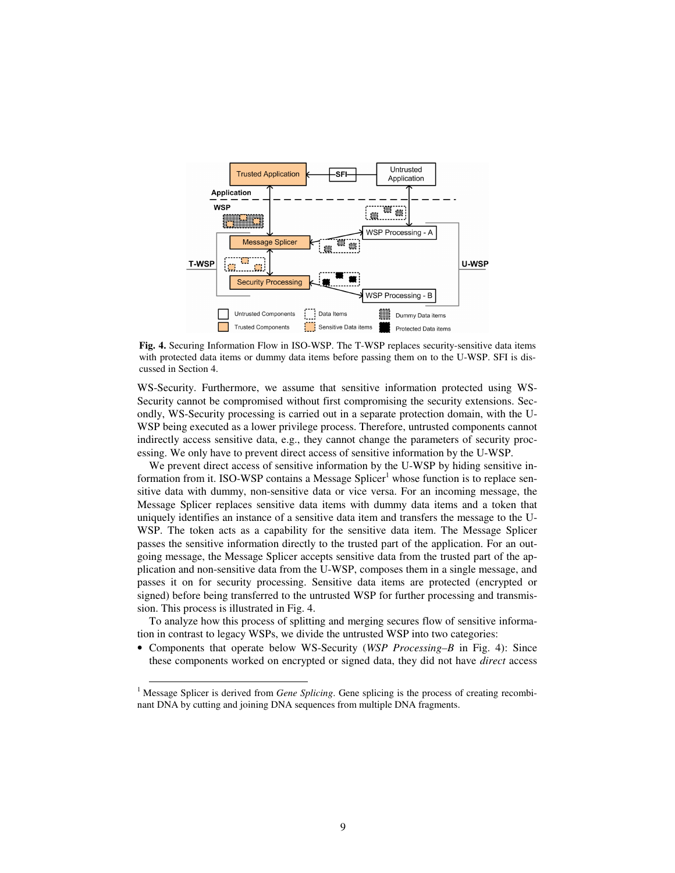

**Fig. 4.** Securing Information Flow in ISO-WSP. The T-WSP replaces security-sensitive data items with protected data items or dummy data items before passing them on to the U-WSP. SFI is discussed in Section 4.

WS-Security. Furthermore, we assume that sensitive information protected using WS-Security cannot be compromised without first compromising the security extensions. Secondly, WS-Security processing is carried out in a separate protection domain, with the U-WSP being executed as a lower privilege process. Therefore, untrusted components cannot indirectly access sensitive data, e.g., they cannot change the parameters of security processing. We only have to prevent direct access of sensitive information by the U-WSP.

We prevent direct access of sensitive information by the U-WSP by hiding sensitive information from it. ISO-WSP contains a Message Splicer<sup>1</sup> whose function is to replace sensitive data with dummy, non-sensitive data or vice versa. For an incoming message, the Message Splicer replaces sensitive data items with dummy data items and a token that uniquely identifies an instance of a sensitive data item and transfers the message to the U-WSP. The token acts as a capability for the sensitive data item. The Message Splicer passes the sensitive information directly to the trusted part of the application. For an outgoing message, the Message Splicer accepts sensitive data from the trusted part of the application and non-sensitive data from the U-WSP, composes them in a single message, and passes it on for security processing. Sensitive data items are protected (encrypted or signed) before being transferred to the untrusted WSP for further processing and transmission. This process is illustrated in Fig. 4.

To analyze how this process of splitting and merging secures flow of sensitive information in contrast to legacy WSPs, we divide the untrusted WSP into two categories:

• Components that operate below WS-Security (*WSP Processing–B* in Fig. 4): Since these components worked on encrypted or signed data, they did not have *direct* access

-

<sup>&</sup>lt;sup>1</sup> Message Splicer is derived from *Gene Splicing*. Gene splicing is the process of creating recombinant DNA by cutting and joining DNA sequences from multiple DNA fragments.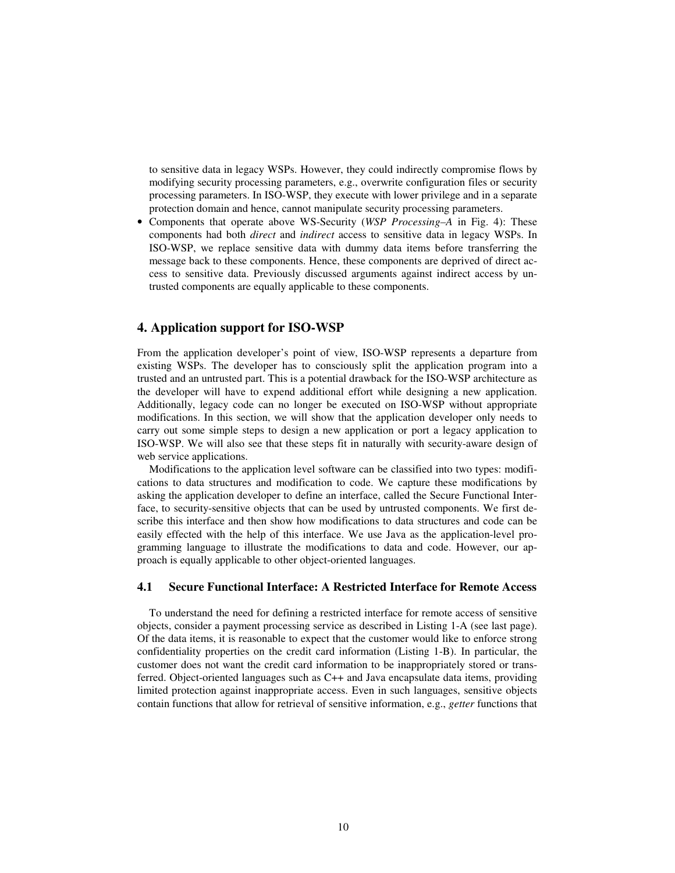to sensitive data in legacy WSPs. However, they could indirectly compromise flows by modifying security processing parameters, e.g., overwrite configuration files or security processing parameters. In ISO-WSP, they execute with lower privilege and in a separate protection domain and hence, cannot manipulate security processing parameters.

• Components that operate above WS-Security (*WSP Processing–A* in Fig. 4): These components had both *direct* and *indirect* access to sensitive data in legacy WSPs. In ISO-WSP, we replace sensitive data with dummy data items before transferring the message back to these components. Hence, these components are deprived of direct access to sensitive data. Previously discussed arguments against indirect access by untrusted components are equally applicable to these components.

## **4. Application support for ISO-WSP**

From the application developer's point of view, ISO-WSP represents a departure from existing WSPs. The developer has to consciously split the application program into a trusted and an untrusted part. This is a potential drawback for the ISO-WSP architecture as the developer will have to expend additional effort while designing a new application. Additionally, legacy code can no longer be executed on ISO-WSP without appropriate modifications. In this section, we will show that the application developer only needs to carry out some simple steps to design a new application or port a legacy application to ISO-WSP. We will also see that these steps fit in naturally with security-aware design of web service applications.

Modifications to the application level software can be classified into two types: modifications to data structures and modification to code. We capture these modifications by asking the application developer to define an interface, called the Secure Functional Interface, to security-sensitive objects that can be used by untrusted components. We first describe this interface and then show how modifications to data structures and code can be easily effected with the help of this interface. We use Java as the application-level programming language to illustrate the modifications to data and code. However, our approach is equally applicable to other object-oriented languages.

### **4.1 Secure Functional Interface: A Restricted Interface for Remote Access**

To understand the need for defining a restricted interface for remote access of sensitive objects, consider a payment processing service as described in Listing 1-A (see last page). Of the data items, it is reasonable to expect that the customer would like to enforce strong confidentiality properties on the credit card information (Listing 1-B). In particular, the customer does not want the credit card information to be inappropriately stored or transferred. Object-oriented languages such as C++ and Java encapsulate data items, providing limited protection against inappropriate access. Even in such languages, sensitive objects contain functions that allow for retrieval of sensitive information, e.g., *getter* functions that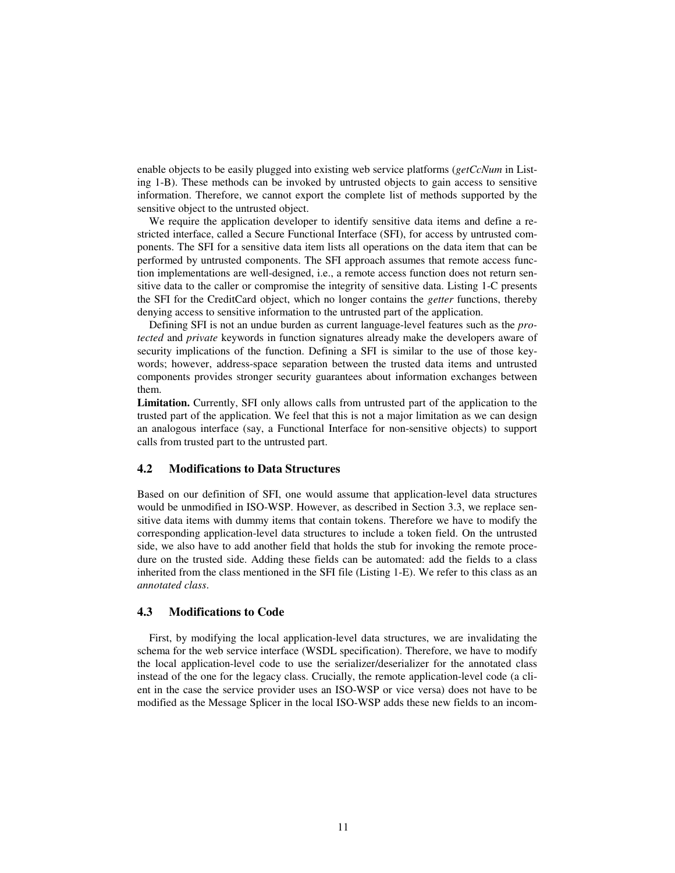enable objects to be easily plugged into existing web service platforms (*getCcNum* in Listing 1-B). These methods can be invoked by untrusted objects to gain access to sensitive information. Therefore, we cannot export the complete list of methods supported by the sensitive object to the untrusted object.

We require the application developer to identify sensitive data items and define a restricted interface, called a Secure Functional Interface (SFI), for access by untrusted components. The SFI for a sensitive data item lists all operations on the data item that can be performed by untrusted components. The SFI approach assumes that remote access function implementations are well-designed, i.e., a remote access function does not return sensitive data to the caller or compromise the integrity of sensitive data. Listing 1-C presents the SFI for the CreditCard object, which no longer contains the *getter* functions, thereby denying access to sensitive information to the untrusted part of the application.

Defining SFI is not an undue burden as current language-level features such as the *protected* and *private* keywords in function signatures already make the developers aware of security implications of the function. Defining a SFI is similar to the use of those keywords; however, address-space separation between the trusted data items and untrusted components provides stronger security guarantees about information exchanges between them.

**Limitation.** Currently, SFI only allows calls from untrusted part of the application to the trusted part of the application. We feel that this is not a major limitation as we can design an analogous interface (say, a Functional Interface for non-sensitive objects) to support calls from trusted part to the untrusted part.

### **4.2 Modifications to Data Structures**

Based on our definition of SFI, one would assume that application-level data structures would be unmodified in ISO-WSP. However, as described in Section 3.3, we replace sensitive data items with dummy items that contain tokens. Therefore we have to modify the corresponding application-level data structures to include a token field. On the untrusted side, we also have to add another field that holds the stub for invoking the remote procedure on the trusted side. Adding these fields can be automated: add the fields to a class inherited from the class mentioned in the SFI file (Listing 1-E). We refer to this class as an *annotated class*.

## **4.3 Modifications to Code**

First, by modifying the local application-level data structures, we are invalidating the schema for the web service interface (WSDL specification). Therefore, we have to modify the local application-level code to use the serializer/deserializer for the annotated class instead of the one for the legacy class. Crucially, the remote application-level code (a client in the case the service provider uses an ISO-WSP or vice versa) does not have to be modified as the Message Splicer in the local ISO-WSP adds these new fields to an incom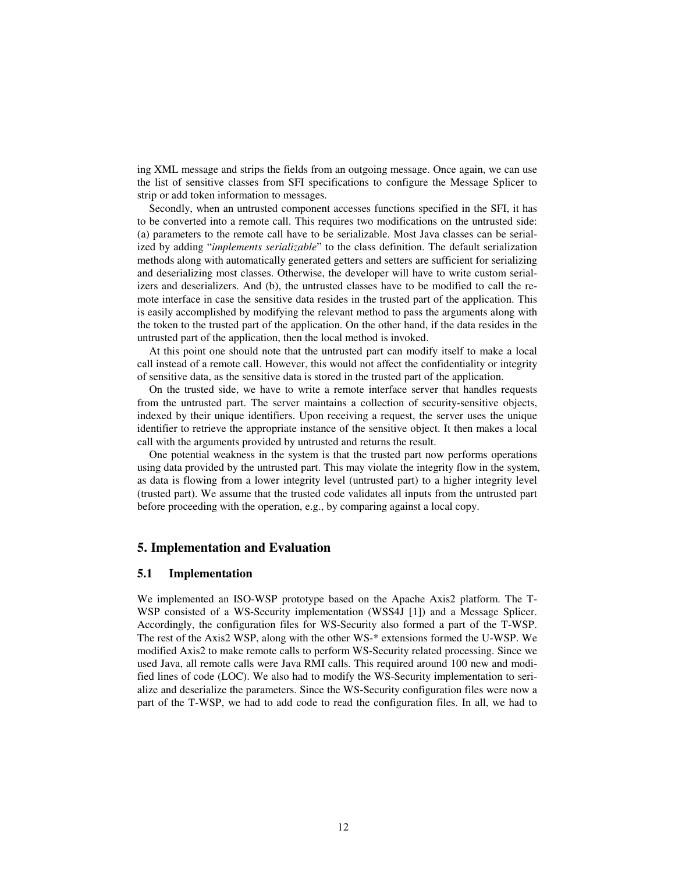ing XML message and strips the fields from an outgoing message. Once again, we can use the list of sensitive classes from SFI specifications to configure the Message Splicer to strip or add token information to messages.

Secondly, when an untrusted component accesses functions specified in the SFI, it has to be converted into a remote call. This requires two modifications on the untrusted side: (a) parameters to the remote call have to be serializable. Most Java classes can be serialized by adding "*implements serializable*" to the class definition. The default serialization methods along with automatically generated getters and setters are sufficient for serializing and deserializing most classes. Otherwise, the developer will have to write custom serializers and deserializers. And (b), the untrusted classes have to be modified to call the remote interface in case the sensitive data resides in the trusted part of the application. This is easily accomplished by modifying the relevant method to pass the arguments along with the token to the trusted part of the application. On the other hand, if the data resides in the untrusted part of the application, then the local method is invoked.

At this point one should note that the untrusted part can modify itself to make a local call instead of a remote call. However, this would not affect the confidentiality or integrity of sensitive data, as the sensitive data is stored in the trusted part of the application.

On the trusted side, we have to write a remote interface server that handles requests from the untrusted part. The server maintains a collection of security-sensitive objects, indexed by their unique identifiers. Upon receiving a request, the server uses the unique identifier to retrieve the appropriate instance of the sensitive object. It then makes a local call with the arguments provided by untrusted and returns the result.

One potential weakness in the system is that the trusted part now performs operations using data provided by the untrusted part. This may violate the integrity flow in the system, as data is flowing from a lower integrity level (untrusted part) to a higher integrity level (trusted part). We assume that the trusted code validates all inputs from the untrusted part before proceeding with the operation, e.g., by comparing against a local copy.

### **5. Implementation and Evaluation**

#### **5.1 Implementation**

We implemented an ISO-WSP prototype based on the Apache Axis2 platform. The T-WSP consisted of a WS-Security implementation (WSS4J [1]) and a Message Splicer. Accordingly, the configuration files for WS-Security also formed a part of the T-WSP. The rest of the Axis2 WSP, along with the other WS-\* extensions formed the U-WSP. We modified Axis2 to make remote calls to perform WS-Security related processing. Since we used Java, all remote calls were Java RMI calls. This required around 100 new and modified lines of code (LOC). We also had to modify the WS-Security implementation to serialize and deserialize the parameters. Since the WS-Security configuration files were now a part of the T-WSP, we had to add code to read the configuration files. In all, we had to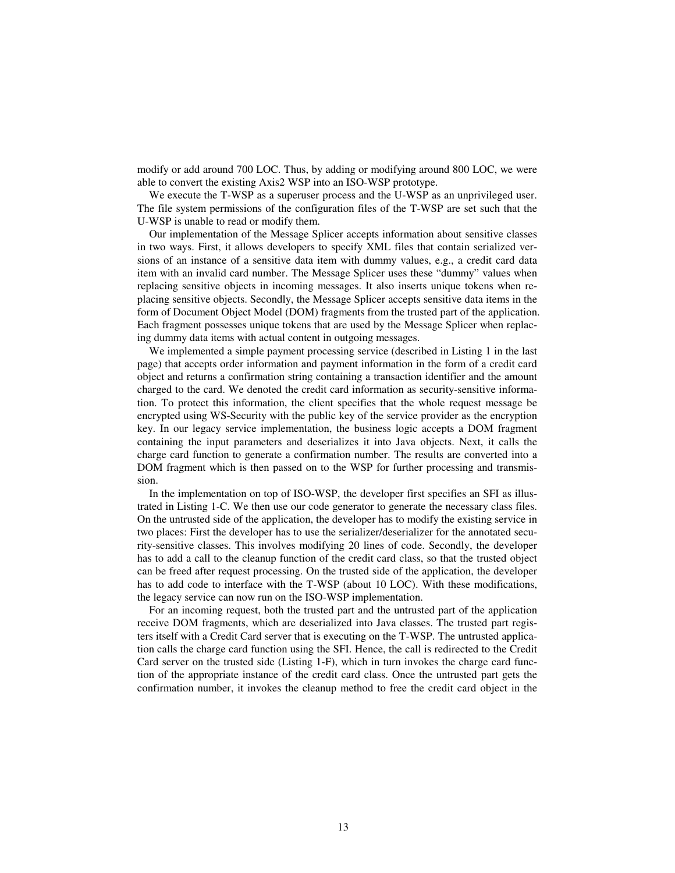modify or add around 700 LOC. Thus, by adding or modifying around 800 LOC, we were able to convert the existing Axis2 WSP into an ISO-WSP prototype.

We execute the T-WSP as a superuser process and the U-WSP as an unprivileged user. The file system permissions of the configuration files of the T-WSP are set such that the U-WSP is unable to read or modify them.

Our implementation of the Message Splicer accepts information about sensitive classes in two ways. First, it allows developers to specify XML files that contain serialized versions of an instance of a sensitive data item with dummy values, e.g., a credit card data item with an invalid card number. The Message Splicer uses these "dummy" values when replacing sensitive objects in incoming messages. It also inserts unique tokens when replacing sensitive objects. Secondly, the Message Splicer accepts sensitive data items in the form of Document Object Model (DOM) fragments from the trusted part of the application. Each fragment possesses unique tokens that are used by the Message Splicer when replacing dummy data items with actual content in outgoing messages.

We implemented a simple payment processing service (described in Listing 1 in the last page) that accepts order information and payment information in the form of a credit card object and returns a confirmation string containing a transaction identifier and the amount charged to the card. We denoted the credit card information as security-sensitive information. To protect this information, the client specifies that the whole request message be encrypted using WS-Security with the public key of the service provider as the encryption key. In our legacy service implementation, the business logic accepts a DOM fragment containing the input parameters and deserializes it into Java objects. Next, it calls the charge card function to generate a confirmation number. The results are converted into a DOM fragment which is then passed on to the WSP for further processing and transmission.

In the implementation on top of ISO-WSP, the developer first specifies an SFI as illustrated in Listing 1-C. We then use our code generator to generate the necessary class files. On the untrusted side of the application, the developer has to modify the existing service in two places: First the developer has to use the serializer/deserializer for the annotated security-sensitive classes. This involves modifying 20 lines of code. Secondly, the developer has to add a call to the cleanup function of the credit card class, so that the trusted object can be freed after request processing. On the trusted side of the application, the developer has to add code to interface with the T-WSP (about 10 LOC). With these modifications, the legacy service can now run on the ISO-WSP implementation.

For an incoming request, both the trusted part and the untrusted part of the application receive DOM fragments, which are deserialized into Java classes. The trusted part registers itself with a Credit Card server that is executing on the T-WSP. The untrusted application calls the charge card function using the SFI. Hence, the call is redirected to the Credit Card server on the trusted side (Listing 1-F), which in turn invokes the charge card function of the appropriate instance of the credit card class. Once the untrusted part gets the confirmation number, it invokes the cleanup method to free the credit card object in the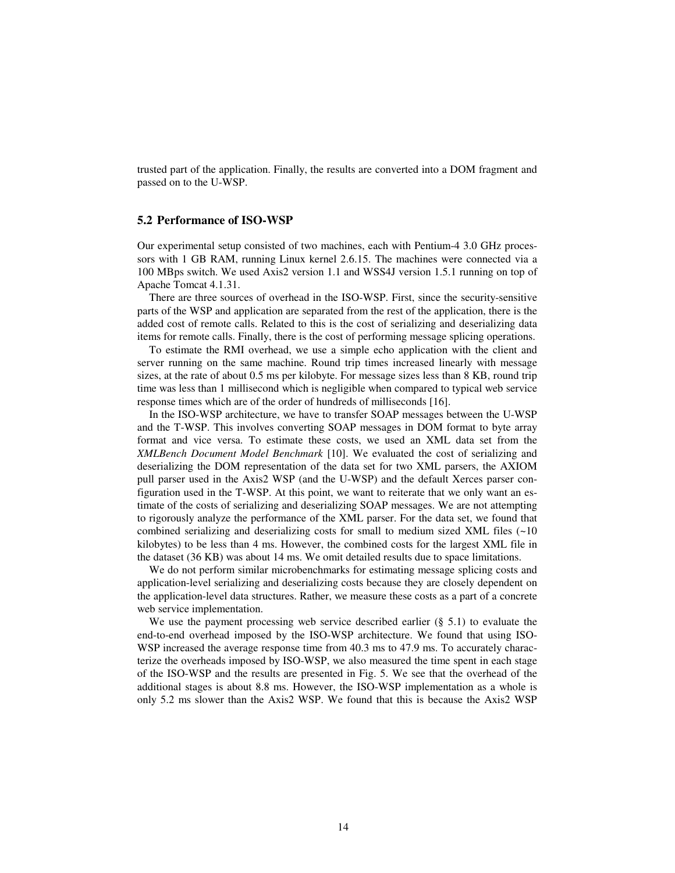trusted part of the application. Finally, the results are converted into a DOM fragment and passed on to the U-WSP.

#### **5.2 Performance of ISO-WSP**

Our experimental setup consisted of two machines, each with Pentium-4 3.0 GHz processors with 1 GB RAM, running Linux kernel 2.6.15. The machines were connected via a 100 MBps switch. We used Axis2 version 1.1 and WSS4J version 1.5.1 running on top of Apache Tomcat 4.1.31.

There are three sources of overhead in the ISO-WSP. First, since the security-sensitive parts of the WSP and application are separated from the rest of the application, there is the added cost of remote calls. Related to this is the cost of serializing and deserializing data items for remote calls. Finally, there is the cost of performing message splicing operations.

To estimate the RMI overhead, we use a simple echo application with the client and server running on the same machine. Round trip times increased linearly with message sizes, at the rate of about 0.5 ms per kilobyte. For message sizes less than 8 KB, round trip time was less than 1 millisecond which is negligible when compared to typical web service response times which are of the order of hundreds of milliseconds [16].

In the ISO-WSP architecture, we have to transfer SOAP messages between the U-WSP and the T-WSP. This involves converting SOAP messages in DOM format to byte array format and vice versa. To estimate these costs, we used an XML data set from the *XMLBench Document Model Benchmark* [10]. We evaluated the cost of serializing and deserializing the DOM representation of the data set for two XML parsers, the AXIOM pull parser used in the Axis2 WSP (and the U-WSP) and the default Xerces parser configuration used in the T-WSP. At this point, we want to reiterate that we only want an estimate of the costs of serializing and deserializing SOAP messages. We are not attempting to rigorously analyze the performance of the XML parser. For the data set, we found that combined serializing and deserializing costs for small to medium sized XML files  $(\sim 10$ kilobytes) to be less than 4 ms. However, the combined costs for the largest XML file in the dataset (36 KB) was about 14 ms. We omit detailed results due to space limitations.

We do not perform similar microbenchmarks for estimating message splicing costs and application-level serializing and deserializing costs because they are closely dependent on the application-level data structures. Rather, we measure these costs as a part of a concrete web service implementation.

We use the payment processing web service described earlier  $(\S 5.1)$  to evaluate the end-to-end overhead imposed by the ISO-WSP architecture. We found that using ISO-WSP increased the average response time from 40.3 ms to 47.9 ms. To accurately characterize the overheads imposed by ISO-WSP, we also measured the time spent in each stage of the ISO-WSP and the results are presented in Fig. 5. We see that the overhead of the additional stages is about 8.8 ms. However, the ISO-WSP implementation as a whole is only 5.2 ms slower than the Axis2 WSP. We found that this is because the Axis2 WSP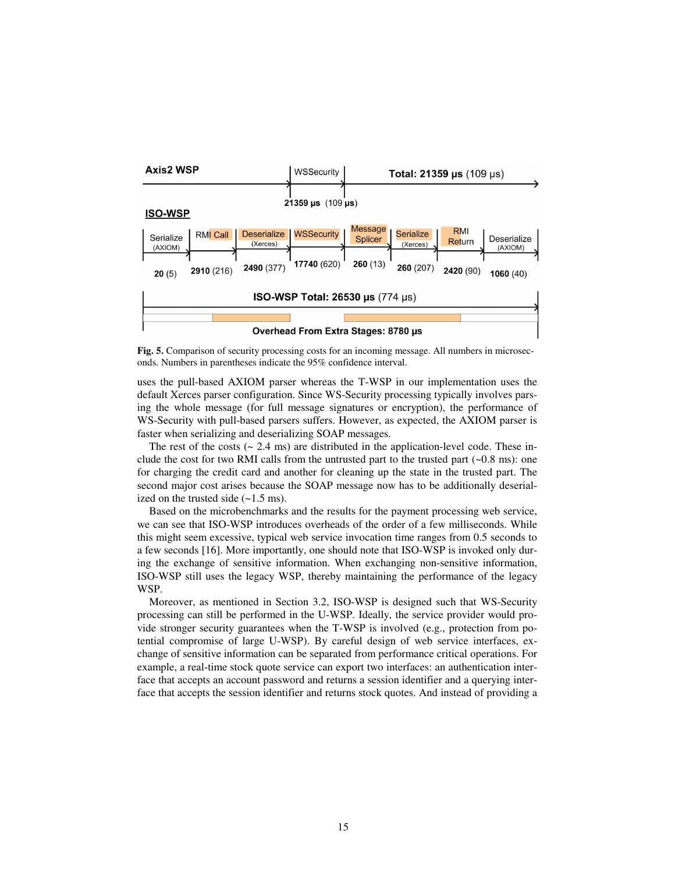

**Fig. 5.** Comparison of security processing costs for an incoming message. All numbers in microseconds. Numbers in parentheses indicate the 95% confidence interval.

uses the pull-based AXIOM parser whereas the T-WSP in our implementation uses the default Xerces parser configuration. Since WS-Security processing typically involves parsing the whole message (for full message signatures or encryption), the performance of WS-Security with pull-based parsers suffers. However, as expected, the AXIOM parser is faster when serializing and deserializing SOAP messages.

The rest of the costs ( $\sim$  2.4 ms) are distributed in the application-level code. These include the cost for two RMI calls from the untrusted part to the trusted part  $(-0.8 \text{ ms})$ : one for charging the credit card and another for cleaning up the state in the trusted part. The second major cost arises because the SOAP message now has to be additionally deserialized on the trusted side  $(-1.5 \text{ ms})$ .

Based on the microbenchmarks and the results for the payment processing web service, we can see that ISO-WSP introduces overheads of the order of a few milliseconds. While this might seem excessive, typical web service invocation time ranges from 0.5 seconds to a few seconds [16]. More importantly, one should note that ISO-WSP is invoked only during the exchange of sensitive information. When exchanging non-sensitive information, ISO-WSP still uses the legacy WSP, thereby maintaining the performance of the legacy WSP.

Moreover, as mentioned in Section 3.2, ISO-WSP is designed such that WS-Security processing can still be performed in the U-WSP. Ideally, the service provider would provide stronger security guarantees when the T-WSP is involved (e.g., protection from potential compromise of large U-WSP). By careful design of web service interfaces, exchange of sensitive information can be separated from performance critical operations. For example, a real-time stock quote service can export two interfaces: an authentication interface that accepts an account password and returns a session identifier and a querying interface that accepts the session identifier and returns stock quotes. And instead of providing a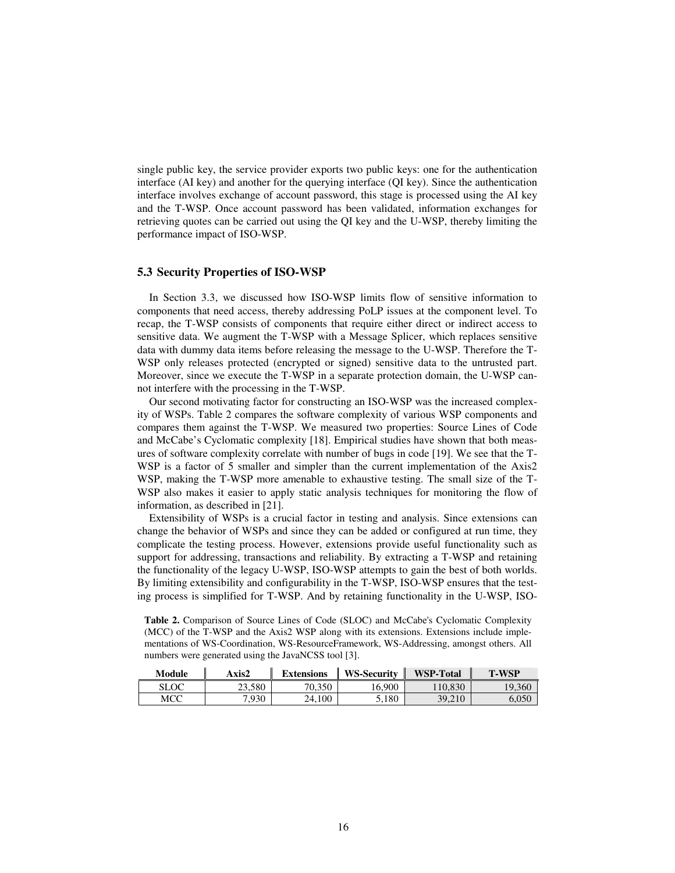single public key, the service provider exports two public keys: one for the authentication interface (AI key) and another for the querying interface (QI key). Since the authentication interface involves exchange of account password, this stage is processed using the AI key and the T-WSP. Once account password has been validated, information exchanges for retrieving quotes can be carried out using the QI key and the U-WSP, thereby limiting the performance impact of ISO-WSP.

### **5.3 Security Properties of ISO-WSP**

In Section 3.3, we discussed how ISO-WSP limits flow of sensitive information to components that need access, thereby addressing PoLP issues at the component level. To recap, the T-WSP consists of components that require either direct or indirect access to sensitive data. We augment the T-WSP with a Message Splicer, which replaces sensitive data with dummy data items before releasing the message to the U-WSP. Therefore the T-WSP only releases protected (encrypted or signed) sensitive data to the untrusted part. Moreover, since we execute the T-WSP in a separate protection domain, the U-WSP cannot interfere with the processing in the T-WSP.

Our second motivating factor for constructing an ISO-WSP was the increased complexity of WSPs. Table 2 compares the software complexity of various WSP components and compares them against the T-WSP. We measured two properties: Source Lines of Code and McCabe's Cyclomatic complexity [18]. Empirical studies have shown that both measures of software complexity correlate with number of bugs in code [19]. We see that the T-WSP is a factor of 5 smaller and simpler than the current implementation of the Axis2 WSP, making the T-WSP more amenable to exhaustive testing. The small size of the T-WSP also makes it easier to apply static analysis techniques for monitoring the flow of information, as described in [21].

Extensibility of WSPs is a crucial factor in testing and analysis. Since extensions can change the behavior of WSPs and since they can be added or configured at run time, they complicate the testing process. However, extensions provide useful functionality such as support for addressing, transactions and reliability. By extracting a T-WSP and retaining the functionality of the legacy U-WSP, ISO-WSP attempts to gain the best of both worlds. By limiting extensibility and configurability in the T-WSP, ISO-WSP ensures that the testing process is simplified for T-WSP. And by retaining functionality in the U-WSP, ISO-

**Table 2.** Comparison of Source Lines of Code (SLOC) and McCabe's Cyclomatic Complexity (MCC) of the T-WSP and the Axis2 WSP along with its extensions. Extensions include implementations of WS-Coordination, WS-ResourceFramework, WS-Addressing, amongst others. All numbers were generated using the JavaNCSS tool [3].

| Module | Axis2  | <b>Extensions</b> | <b>WS-Security</b> | <b>WSP-Total</b> | <b>T-WSP</b> |
|--------|--------|-------------------|--------------------|------------------|--------------|
| SLOC   | 23.580 | 70.350            | 16.900             | 110.830          | 19,360       |
| мсс    | 7.930  | 24.100            | 5.180              | 39.210           |              |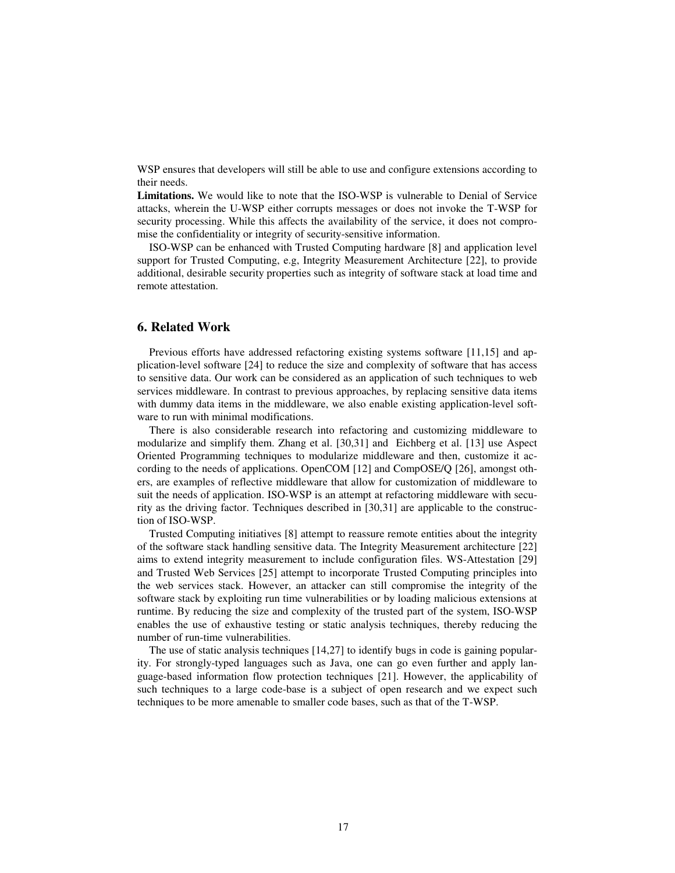WSP ensures that developers will still be able to use and configure extensions according to their needs.

**Limitations.** We would like to note that the ISO-WSP is vulnerable to Denial of Service attacks, wherein the U-WSP either corrupts messages or does not invoke the T-WSP for security processing. While this affects the availability of the service, it does not compromise the confidentiality or integrity of security-sensitive information.

ISO-WSP can be enhanced with Trusted Computing hardware [8] and application level support for Trusted Computing, e.g, Integrity Measurement Architecture [22], to provide additional, desirable security properties such as integrity of software stack at load time and remote attestation.

## **6. Related Work**

Previous efforts have addressed refactoring existing systems software [11,15] and application-level software [24] to reduce the size and complexity of software that has access to sensitive data. Our work can be considered as an application of such techniques to web services middleware. In contrast to previous approaches, by replacing sensitive data items with dummy data items in the middleware, we also enable existing application-level software to run with minimal modifications.

There is also considerable research into refactoring and customizing middleware to modularize and simplify them. Zhang et al. [30,31] and Eichberg et al. [13] use Aspect Oriented Programming techniques to modularize middleware and then, customize it according to the needs of applications. OpenCOM [12] and CompOSE/Q [26], amongst others, are examples of reflective middleware that allow for customization of middleware to suit the needs of application. ISO-WSP is an attempt at refactoring middleware with security as the driving factor. Techniques described in [30,31] are applicable to the construction of ISO-WSP.

Trusted Computing initiatives [8] attempt to reassure remote entities about the integrity of the software stack handling sensitive data. The Integrity Measurement architecture [22] aims to extend integrity measurement to include configuration files. WS-Attestation [29] and Trusted Web Services [25] attempt to incorporate Trusted Computing principles into the web services stack. However, an attacker can still compromise the integrity of the software stack by exploiting run time vulnerabilities or by loading malicious extensions at runtime. By reducing the size and complexity of the trusted part of the system, ISO-WSP enables the use of exhaustive testing or static analysis techniques, thereby reducing the number of run-time vulnerabilities.

The use of static analysis techniques [14,27] to identify bugs in code is gaining popularity. For strongly-typed languages such as Java, one can go even further and apply language-based information flow protection techniques [21]. However, the applicability of such techniques to a large code-base is a subject of open research and we expect such techniques to be more amenable to smaller code bases, such as that of the T-WSP.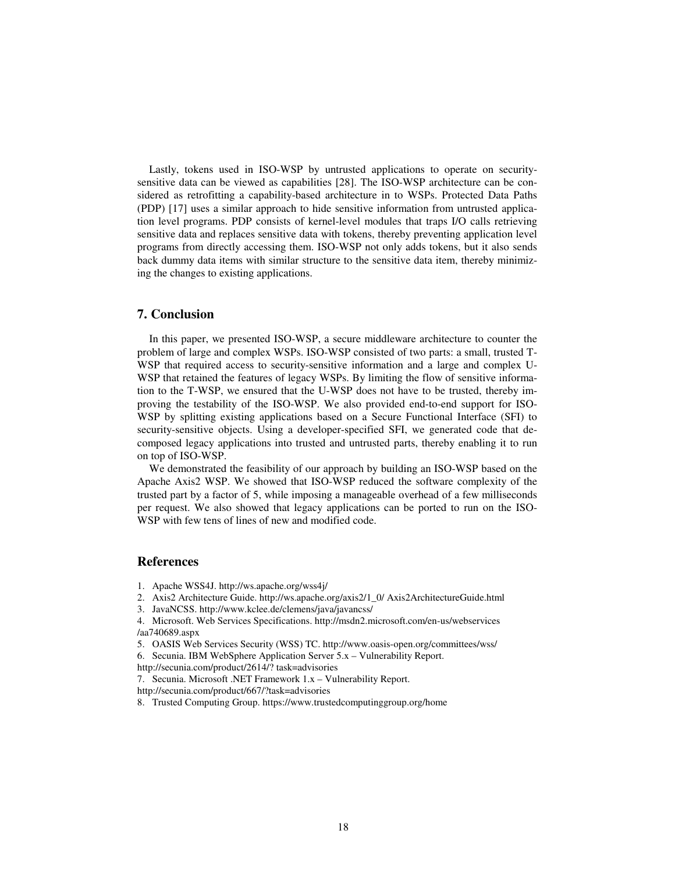Lastly, tokens used in ISO-WSP by untrusted applications to operate on securitysensitive data can be viewed as capabilities [28]. The ISO-WSP architecture can be considered as retrofitting a capability-based architecture in to WSPs. Protected Data Paths (PDP) [17] uses a similar approach to hide sensitive information from untrusted application level programs. PDP consists of kernel-level modules that traps I/O calls retrieving sensitive data and replaces sensitive data with tokens, thereby preventing application level programs from directly accessing them. ISO-WSP not only adds tokens, but it also sends back dummy data items with similar structure to the sensitive data item, thereby minimizing the changes to existing applications.

### **7. Conclusion**

In this paper, we presented ISO-WSP, a secure middleware architecture to counter the problem of large and complex WSPs. ISO-WSP consisted of two parts: a small, trusted T-WSP that required access to security-sensitive information and a large and complex U-WSP that retained the features of legacy WSPs. By limiting the flow of sensitive information to the T-WSP, we ensured that the U-WSP does not have to be trusted, thereby improving the testability of the ISO-WSP. We also provided end-to-end support for ISO-WSP by splitting existing applications based on a Secure Functional Interface (SFI) to security-sensitive objects. Using a developer-specified SFI, we generated code that decomposed legacy applications into trusted and untrusted parts, thereby enabling it to run on top of ISO-WSP.

We demonstrated the feasibility of our approach by building an ISO-WSP based on the Apache Axis2 WSP. We showed that ISO-WSP reduced the software complexity of the trusted part by a factor of 5, while imposing a manageable overhead of a few milliseconds per request. We also showed that legacy applications can be ported to run on the ISO-WSP with few tens of lines of new and modified code.

### **References**

- 1. Apache WSS4J. http://ws.apache.org/wss4j/
- 2. Axis2 Architecture Guide. http://ws.apache.org/axis2/1\_0/ Axis2ArchitectureGuide.html
- 3. JavaNCSS. http://www.kclee.de/clemens/java/javancss/

4. Microsoft. Web Services Specifications. http://msdn2.microsoft.com/en-us/webservices /aa740689.aspx

- 5. OASIS Web Services Security (WSS) TC. http://www.oasis-open.org/committees/wss/
- 6. Secunia. IBM WebSphere Application Server 5.x Vulnerability Report.
- http://secunia.com/product/2614/? task=advisories
- 7. Secunia. Microsoft .NET Framework 1.x Vulnerability Report.

http://secunia.com/product/667/?task=advisories

8. Trusted Computing Group. https://www.trustedcomputinggroup.org/home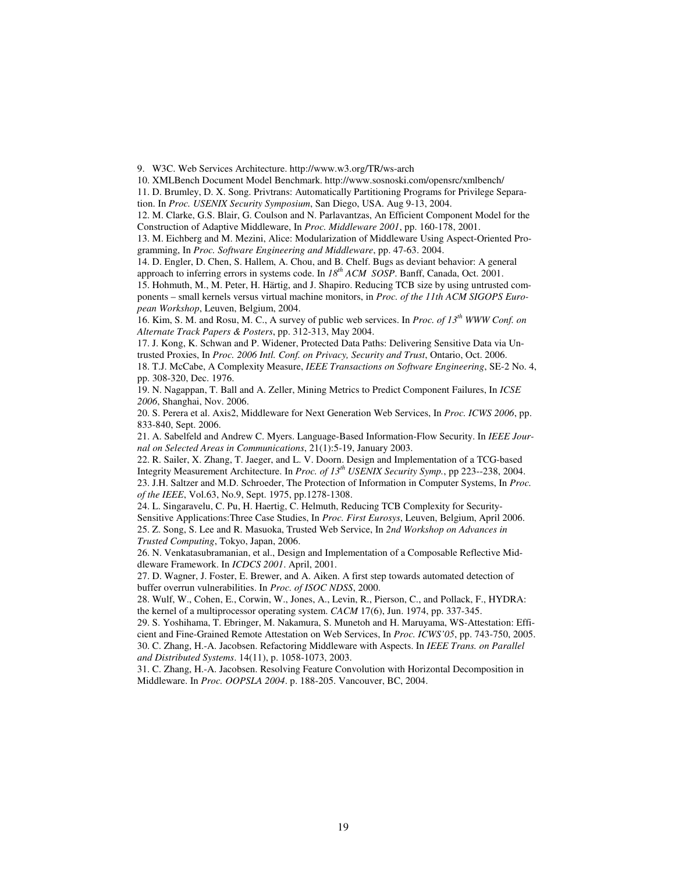9. W3C. Web Services Architecture. http://www.w3.org/TR/ws-arch

10. XMLBench Document Model Benchmark. http://www.sosnoski.com/opensrc/xmlbench/

11. D. Brumley, D. X. Song. Privtrans: Automatically Partitioning Programs for Privilege Separation. In *Proc. USENIX Security Symposium*, San Diego, USA. Aug 9-13, 2004.

12. M. Clarke, G.S. Blair, G. Coulson and N. Parlavantzas, An Efficient Component Model for the Construction of Adaptive Middleware, In *Proc. Middleware 2001*, pp. 160-178, 2001.

13. M. Eichberg and M. Mezini, Alice: Modularization of Middleware Using Aspect-Oriented Programming, In *Proc. Software Engineering and Middleware*, pp. 47-63. 2004.

14. D. Engler, D. Chen, S. Hallem, A. Chou, and B. Chelf. Bugs as deviant behavior: A general approach to inferring errors in systems code. In *18th ACM SOSP*. Banff, Canada, Oct. 2001.

15. Hohmuth, M., M. Peter, H. Härtig, and J. Shapiro. Reducing TCB size by using untrusted components – small kernels versus virtual machine monitors, in *Proc. of the 11th ACM SIGOPS European Workshop*, Leuven, Belgium, 2004.

16. Kim, S. M. and Rosu, M. C., A survey of public web services. In *Proc. of 13th WWW Conf. on Alternate Track Papers & Posters*, pp. 312-313, May 2004.

17. J. Kong, K. Schwan and P. Widener, Protected Data Paths: Delivering Sensitive Data via Untrusted Proxies, In *Proc. 2006 Intl. Conf. on Privacy, Security and Trust*, Ontario, Oct. 2006.

18. T.J. McCabe, A Complexity Measure, *IEEE Transactions on Software Engineering*, SE-2 No. 4, pp. 308-320, Dec. 1976.

19. N. Nagappan, T. Ball and A. Zeller, Mining Metrics to Predict Component Failures, In *ICSE 2006*, Shanghai, Nov. 2006.

20. S. Perera et al. Axis2, Middleware for Next Generation Web Services, In *Proc. ICWS 2006*, pp. 833-840, Sept. 2006.

21. A. Sabelfeld and Andrew C. Myers. Language-Based Information-Flow Security. In *IEEE Journal on Selected Areas in Communications*, 21(1):5-19, January 2003.

22. R. Sailer, X. Zhang, T. Jaeger, and L. V. Doorn. Design and Implementation of a TCG-based Integrity Measurement Architecture. In *Proc. of 13th USENIX Security Symp.*, pp 223--238, 2004. 23. J.H. Saltzer and M.D. Schroeder, The Protection of Information in Computer Systems, In *Proc. of the IEEE*, Vol.63, No.9, Sept. 1975, pp.1278-1308.

24. L. Singaravelu, C. Pu, H. Haertig, C. Helmuth, Reducing TCB Complexity for Security-Sensitive Applications:Three Case Studies, In *Proc. First Eurosys*, Leuven, Belgium, April 2006. 25. Z. Song, S. Lee and R. Masuoka, Trusted Web Service, In *2nd Workshop on Advances in Trusted Computing*, Tokyo, Japan, 2006.

26. N. Venkatasubramanian, et al., Design and Implementation of a Composable Reflective Middleware Framework. In *ICDCS 2001*. April, 2001.

27. D. Wagner, J. Foster, E. Brewer, and A. Aiken. A first step towards automated detection of buffer overrun vulnerabilities. In *Proc. of ISOC NDSS*, 2000.

28. Wulf, W., Cohen, E., Corwin, W., Jones, A., Levin, R., Pierson, C., and Pollack, F., HYDRA: the kernel of a multiprocessor operating system. *CACM* 17(6), Jun. 1974, pp. 337-345.

29. S. Yoshihama, T. Ebringer, M. Nakamura, S. Munetoh and H. Maruyama, WS-Attestation: Efficient and Fine-Grained Remote Attestation on Web Services, In *Proc. ICWS'05*, pp. 743-750, 2005. 30. C. Zhang, H.-A. Jacobsen. Refactoring Middleware with Aspects. In *IEEE Trans. on Parallel and Distributed Systems*. 14(11), p. 1058-1073, 2003.

31. C. Zhang, H.-A. Jacobsen. Resolving Feature Convolution with Horizontal Decomposition in Middleware. In *Proc. OOPSLA 2004*. p. 188-205. Vancouver, BC, 2004.